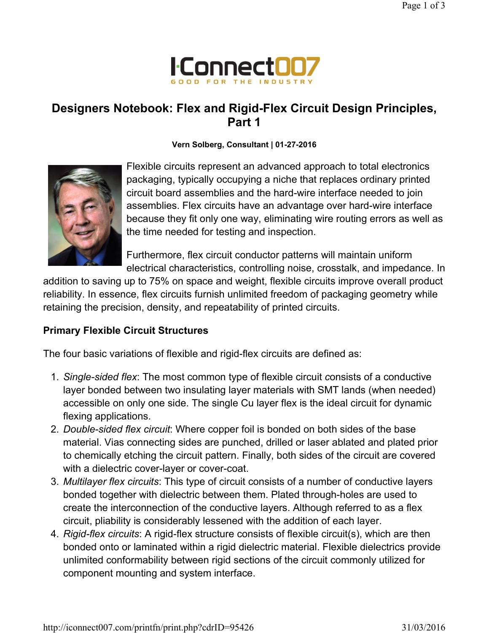

# Designers Notebook: Flex and Rigid-Flex Circuit Design Principles, Part 1

#### Vern Solberg, Consultant | 01-27-2016



Flexible circuits represent an advanced approach to total electronics packaging, typically occupying a niche that replaces ordinary printed circuit board assemblies and the hard-wire interface needed to join assemblies. Flex circuits have an advantage over hard-wire interface because they fit only one way, eliminating wire routing errors as well as the time needed for testing and inspection.

Furthermore, flex circuit conductor patterns will maintain uniform electrical characteristics, controlling noise, crosstalk, and impedance. In

addition to saving up to 75% on space and weight, flexible circuits improve overall product reliability. In essence, flex circuits furnish unlimited freedom of packaging geometry while retaining the precision, density, and repeatability of printed circuits.

#### Primary Flexible Circuit Structures

The four basic variations of flexible and rigid-flex circuits are defined as:

- 1. Single-sided flex: The most common type of flexible circuit consists of a conductive layer bonded between two insulating layer materials with SMT lands (when needed) accessible on only one side. The single Cu layer flex is the ideal circuit for dynamic flexing applications.
- 2. Double-sided flex circuit: Where copper foil is bonded on both sides of the base material. Vias connecting sides are punched, drilled or laser ablated and plated prior to chemically etching the circuit pattern. Finally, both sides of the circuit are covered with a dielectric cover-layer or cover-coat.
- 3. Multilayer flex circuits: This type of circuit consists of a number of conductive layers bonded together with dielectric between them. Plated through-holes are used to create the interconnection of the conductive layers. Although referred to as a flex circuit, pliability is considerably lessened with the addition of each layer.
- 4. Rigid-flex circuits: A rigid-flex structure consists of flexible circuit(s), which are then bonded onto or laminated within a rigid dielectric material. Flexible dielectrics provide unlimited conformability between rigid sections of the circuit commonly utilized for component mounting and system interface.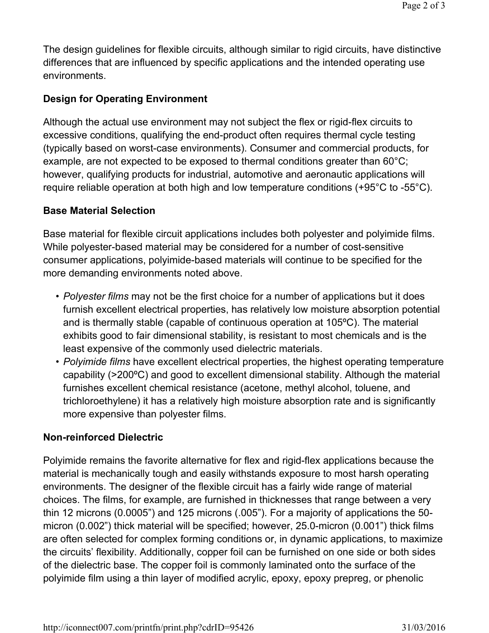The design guidelines for flexible circuits, although similar to rigid circuits, have distinctive differences that are influenced by specific applications and the intended operating use environments.

# Design for Operating Environment

Although the actual use environment may not subject the flex or rigid-flex circuits to excessive conditions, qualifying the end-product often requires thermal cycle testing (typically based on worst-case environments). Consumer and commercial products, for example, are not expected to be exposed to thermal conditions greater than 60°C; however, qualifying products for industrial, automotive and aeronautic applications will require reliable operation at both high and low temperature conditions (+95°C to -55°C).

## Base Material Selection

Base material for flexible circuit applications includes both polyester and polyimide films. While polyester-based material may be considered for a number of cost-sensitive consumer applications, polyimide-based materials will continue to be specified for the more demanding environments noted above.

- Polyester films may not be the first choice for a number of applications but it does furnish excellent electrical properties, has relatively low moisture absorption potential and is thermally stable (capable of continuous operation at 105ºC). The material exhibits good to fair dimensional stability, is resistant to most chemicals and is the least expensive of the commonly used dielectric materials.
- Polyimide films have excellent electrical properties, the highest operating temperature capability (>200ºC) and good to excellent dimensional stability. Although the material furnishes excellent chemical resistance (acetone, methyl alcohol, toluene, and trichloroethylene) it has a relatively high moisture absorption rate and is significantly more expensive than polyester films.

## Non-reinforced Dielectric

Polyimide remains the favorite alternative for flex and rigid-flex applications because the material is mechanically tough and easily withstands exposure to most harsh operating environments. The designer of the flexible circuit has a fairly wide range of material choices. The films, for example, are furnished in thicknesses that range between a very thin 12 microns (0.0005") and 125 microns (.005"). For a majority of applications the 50 micron (0.002") thick material will be specified; however, 25.0-micron (0.001") thick films are often selected for complex forming conditions or, in dynamic applications, to maximize the circuits' flexibility. Additionally, copper foil can be furnished on one side or both sides of the dielectric base. The copper foil is commonly laminated onto the surface of the polyimide film using a thin layer of modified acrylic, epoxy, epoxy prepreg, or phenolic